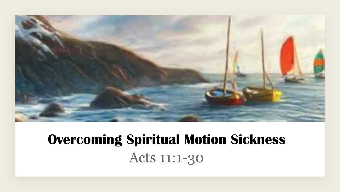

## **Overcoming Spiritual Motion Sickness**Acts 11:1-30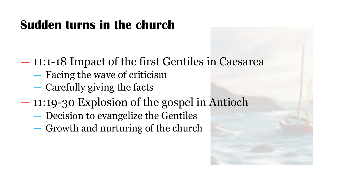### **Sudden turns in the church**

― 11:1-18 Impact of the first Gentiles in Caesarea

- ― Facing the wave of criticism
- ― Carefully giving the facts

### ― 11:19-30 Explosion of the gospel in Antioch

- ― Decision to evangelize the Gentiles
- ― Growth and nurturing of the church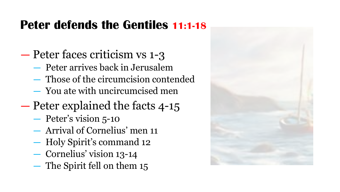#### **Peter defends the Gentiles 11:1-18**

- ― Peter faces criticism vs 1-3
	- ― Peter arrives back in Jerusalem
	- ― Those of the circumcision contended
	- ― You ate with uncircumcised men
- ― Peter explained the facts 4-15
	- ― Peter's vision 5-10
	- ― Arrival of Cornelius' men 11
	- ― Holy Spirit's command 12
	- ― Cornelius' vision 13-14
	- ― The Spirit fell on them 15

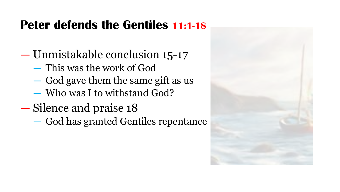#### **Peter defends the Gentiles 11:1-18**

- ― Unmistakable conclusion 15-17
	- ― This was the work of God
	- ― God gave them the same gift as us
	- ― Who was I to withstand God?
- ― Silence and praise 18
	- ― God has granted Gentiles repentance

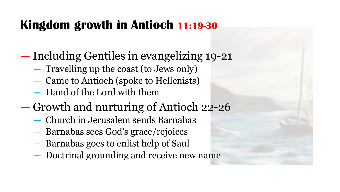### **Kingdom growth in Antioch 11:19-30**

- ― Including Gentiles in evangelizing 19-21
	- ― Travelling up the coast (to Jews only)
	- ― Came to Antioch (spoke to Hellenists)
	- ― Hand of the Lord with them
- ― Growth and nurturing of Antioch 22-26
	- ― Church in Jerusalem sends Barnabas
	- ― Barnabas sees God's grace/rejoices
	- ― Barnabas goes to enlist help of Saul
	- ― Doctrinal grounding and receive new name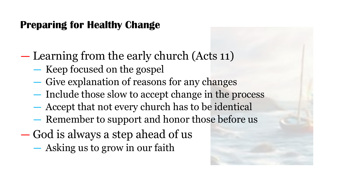#### **Preparing for Healthy Change**

― Learning from the early church (Acts 11)

- ― Keep focused on the gospel
- ― Give explanation of reasons for any changes
- ― Include those slow to accept change in the process
- ― Accept that not every church has to be identical
- ― Remember to support and honor those before us
- ― God is always a step ahead of us
	- ― Asking us to grow in our faith